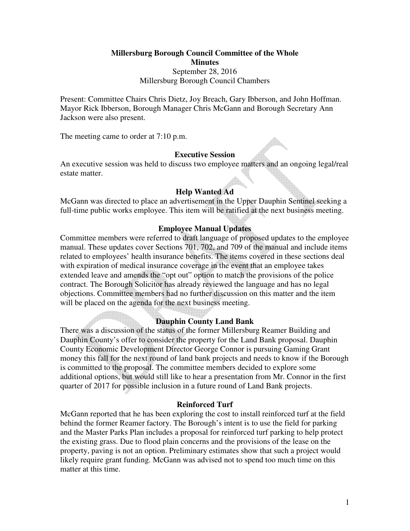**Millersburg Borough Council Committee of the Whole Minutes**  September 28, 2016 Millersburg Borough Council Chambers

Present: Committee Chairs Chris Dietz, Joy Breach, Gary Ibberson, and John Hoffman. Mayor Rick Ibberson, Borough Manager Chris McGann and Borough Secretary Ann Jackson were also present.

The meeting came to order at 7:10 p.m.

## **Executive Session**

An executive session was held to discuss two employee matters and an ongoing legal/real estate matter.

# **Help Wanted Ad**

McGann was directed to place an advertisement in the Upper Dauphin Sentinel seeking a full-time public works employee. This item will be ratified at the next business meeting.

## **Employee Manual Updates**

Committee members were referred to draft language of proposed updates to the employee manual. These updates cover Sections 701, 702, and 709 of the manual and include items related to employees' health insurance benefits. The items covered in these sections deal with expiration of medical insurance coverage in the event that an employee takes extended leave and amends the "opt out" option to match the provisions of the police contract. The Borough Solicitor has already reviewed the language and has no legal objections. Committee members had no further discussion on this matter and the item will be placed on the agenda for the next business meeting.

# **Dauphin County Land Bank**

There was a discussion of the status of the former Millersburg Reamer Building and Dauphin County's offer to consider the property for the Land Bank proposal. Dauphin County Economic Development Director George Connor is pursuing Gaming Grant money this fall for the next round of land bank projects and needs to know if the Borough is committed to the proposal. The committee members decided to explore some additional options, but would still like to hear a presentation from Mr. Connor in the first quarter of 2017 for possible inclusion in a future round of Land Bank projects.

#### **Reinforced Turf**

McGann reported that he has been exploring the cost to install reinforced turf at the field behind the former Reamer factory. The Borough's intent is to use the field for parking and the Master Parks Plan includes a proposal for reinforced turf parking to help protect the existing grass. Due to flood plain concerns and the provisions of the lease on the property, paving is not an option. Preliminary estimates show that such a project would likely require grant funding. McGann was advised not to spend too much time on this matter at this time.